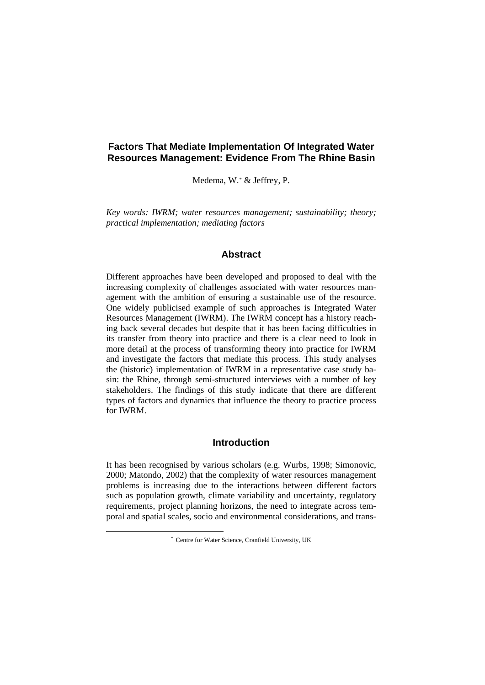# **Factors That Mediate Implementation Of Integrated Water Resources Management: Evidence From The Rhine Basin**

Medema, W.[\\*](#page-0-0) & Jeffrey, P.

*Key words: IWRM; water resources management; sustainability; theory; practical implementation; mediating factors* 

## **Abstract**

Different approaches have been developed and proposed to deal with the increasing complexity of challenges associated with water resources management with the ambition of ensuring a sustainable use of the resource. One widely publicised example of such approaches is Integrated Water Resources Management (IWRM). The IWRM concept has a history reaching back several decades but despite that it has been facing difficulties in its transfer from theory into practice and there is a clear need to look in more detail at the process of transforming theory into practice for IWRM and investigate the factors that mediate this process. This study analyses the (historic) implementation of IWRM in a representative case study basin: the Rhine, through semi-structured interviews with a number of key stakeholders. The findings of this study indicate that there are different types of factors and dynamics that influence the theory to practice process for IWRM.

## **Introduction**

<span id="page-0-0"></span>It has been recognised by various scholars (e.g. Wurbs, 1998; Simonovic, 2000; Matondo, 2002) that the complexity of water resources management problems is increasing due to the interactions between different factors such as population growth, climate variability and uncertainty, regulatory requirements, project planning horizons, the need to integrate across temporal and spatial scales, socio and environmental considerations, and trans-

 <sup>\*</sup> Centre for Water Science, Cranfield University, UK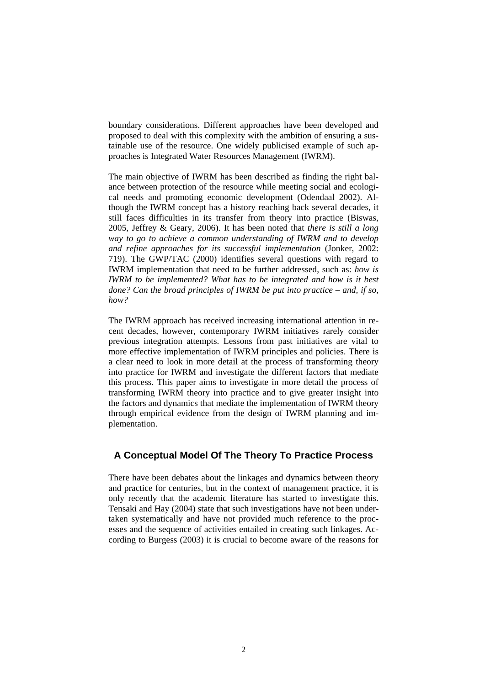boundary considerations. Different approaches have been developed and proposed to deal with this complexity with the ambition of ensuring a sustainable use of the resource. One widely publicised example of such approaches is Integrated Water Resources Management (IWRM).

The main objective of IWRM has been described as finding the right balance between protection of the resource while meeting social and ecological needs and promoting economic development (Odendaal 2002). Although the IWRM concept has a history reaching back several decades, it still faces difficulties in its transfer from theory into practice (Biswas, 2005, Jeffrey & Geary, 2006). It has been noted that *there is still a long way to go to achieve a common understanding of IWRM and to develop and refine approaches for its successful implementation* (Jonker, 2002: 719). The GWP/TAC (2000) identifies several questions with regard to IWRM implementation that need to be further addressed, such as: *how is IWRM to be implemented? What has to be integrated and how is it best done? Can the broad principles of IWRM be put into practice – and, if so, how?*

The IWRM approach has received increasing international attention in recent decades, however, contemporary IWRM initiatives rarely consider previous integration attempts. Lessons from past initiatives are vital to more effective implementation of IWRM principles and policies. There is a clear need to look in more detail at the process of transforming theory into practice for IWRM and investigate the different factors that mediate this process. This paper aims to investigate in more detail the process of transforming IWRM theory into practice and to give greater insight into the factors and dynamics that mediate the implementation of IWRM theory through empirical evidence from the design of IWRM planning and implementation.

## **A Conceptual Model Of The Theory To Practice Process**

There have been debates about the linkages and dynamics between theory and practice for centuries, but in the context of management practice, it is only recently that the academic literature has started to investigate this. Tensaki and Hay (2004) state that such investigations have not been undertaken systematically and have not provided much reference to the processes and the sequence of activities entailed in creating such linkages. According to Burgess (2003) it is crucial to become aware of the reasons for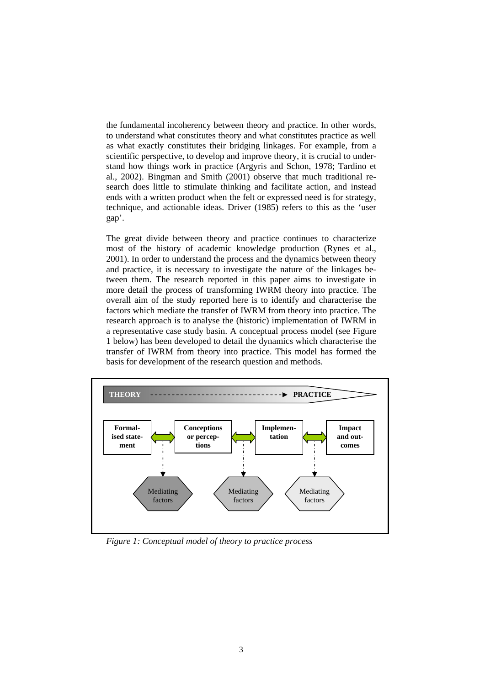the fundamental incoherency between theory and practice. In other words, to understand what constitutes theory and what constitutes practice as well as what exactly constitutes their bridging linkages. For example, from a scientific perspective, to develop and improve theory, it is crucial to understand how things work in practice (Argyris and Schon, 1978; Tardino et al., 2002). Bingman and Smith (2001) observe that much traditional research does little to stimulate thinking and facilitate action, and instead ends with a written product when the felt or expressed need is for strategy, technique, and actionable ideas. Driver (1985) refers to this as the 'user gap'.

The great divide between theory and practice continues to characterize most of the history of academic knowledge production (Rynes et al., 2001). In order to understand the process and the dynamics between theory and practice, it is necessary to investigate the nature of the linkages between them. The research reported in this paper aims to investigate in more detail the process of transforming IWRM theory into practice. The overall aim of the study reported here is to identify and characterise the factors which mediate the transfer of IWRM from theory into practice. The research approach is to analyse the (historic) implementation of IWRM in a representative case study basin. A conceptual process model (see Figure 1 below) has been developed to detail the dynamics which characterise the transfer of IWRM from theory into practice. This model has formed the basis for development of the research question and methods.



*Figure 1: Conceptual model of theory to practice process*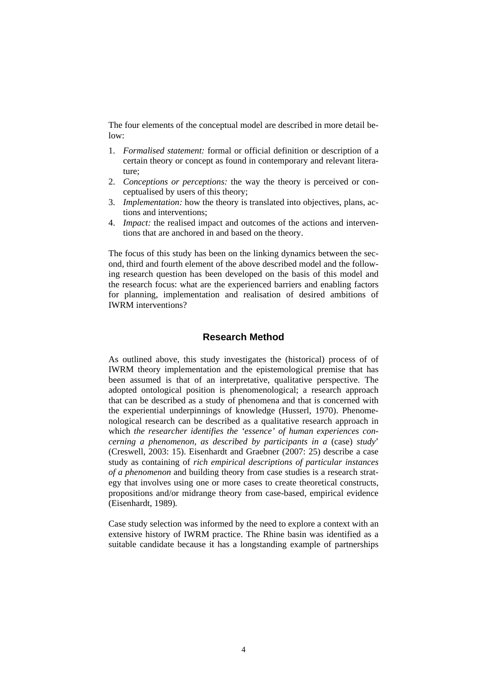The four elements of the conceptual model are described in more detail be $low<sup>2</sup>$ 

- 1. *Formalised statement:* formal or official definition or description of a certain theory or concept as found in contemporary and relevant literature;
- 2. *Conceptions or perceptions:* the way the theory is perceived or conceptualised by users of this theory;
- 3. *Implementation:* how the theory is translated into objectives, plans, actions and interventions;
- 4. *Impact:* the realised impact and outcomes of the actions and interventions that are anchored in and based on the theory.

The focus of this study has been on the linking dynamics between the second, third and fourth element of the above described model and the following research question has been developed on the basis of this model and the research focus: what are the experienced barriers and enabling factors for planning, implementation and realisation of desired ambitions of IWRM interventions?

## **Research Method**

As outlined above, this study investigates the (historical) process of of IWRM theory implementation and the epistemological premise that has been assumed is that of an interpretative, qualitative perspective. The adopted ontological position is phenomenological; a research approach that can be described as a study of phenomena and that is concerned with the experiential underpinnings of knowledge (Husserl, 1970). Phenomenological research can be described as a qualitative research approach in which *the researcher identifies the 'essence' of human experiences concerning a phenomenon, as described by participants in a* (case) *study*' (Creswell, 2003: 15). Eisenhardt and Graebner (2007: 25) describe a case study as containing of *rich empirical descriptions of particular instances of a phenomenon* and building theory from case studies is a research strategy that involves using one or more cases to create theoretical constructs, propositions and/or midrange theory from case-based, empirical evidence (Eisenhardt, 1989)*.* 

Case study selection was informed by the need to explore a context with an extensive history of IWRM practice. The Rhine basin was identified as a suitable candidate because it has a longstanding example of partnerships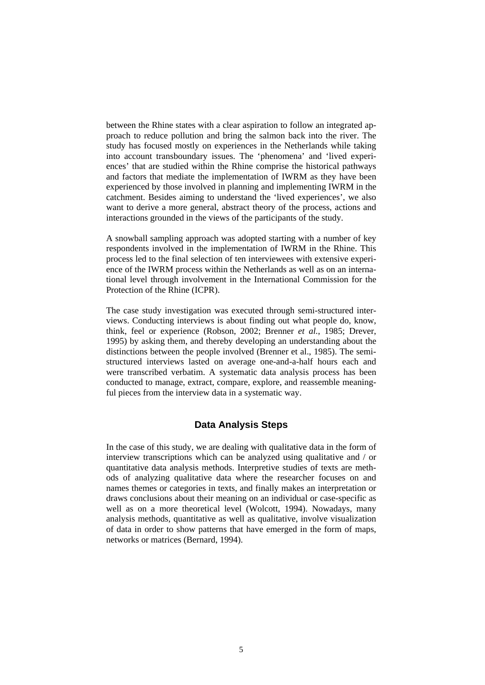between the Rhine states with a clear aspiration to follow an integrated approach to reduce pollution and bring the salmon back into the river. The study has focused mostly on experiences in the Netherlands while taking into account transboundary issues. The 'phenomena' and 'lived experiences' that are studied within the Rhine comprise the historical pathways and factors that mediate the implementation of IWRM as they have been experienced by those involved in planning and implementing IWRM in the catchment. Besides aiming to understand the 'lived experiences', we also want to derive a more general, abstract theory of the process, actions and interactions grounded in the views of the participants of the study.

A snowball sampling approach was adopted starting with a number of key respondents involved in the implementation of IWRM in the Rhine. This process led to the final selection of ten interviewees with extensive experience of the IWRM process within the Netherlands as well as on an international level through involvement in the International Commission for the Protection of the Rhine (ICPR).

The case study investigation was executed through semi-structured interviews. Conducting interviews is about finding out what people do, know, think, feel or experience (Robson, 2002; Brenner *et al.*, 1985; Drever, 1995) by asking them, and thereby developing an understanding about the distinctions between the people involved (Brenner et al., 1985). The semistructured interviews lasted on average one-and-a-half hours each and were transcribed verbatim. A systematic data analysis process has been conducted to manage, extract, compare, explore, and reassemble meaningful pieces from the interview data in a systematic way.

## **Data Analysis Steps**

In the case of this study, we are dealing with qualitative data in the form of interview transcriptions which can be analyzed using qualitative and / or quantitative data analysis methods. Interpretive studies of texts are methods of analyzing qualitative data where the researcher focuses on and names themes or categories in texts, and finally makes an interpretation or draws conclusions about their meaning on an individual or case-specific as well as on a more theoretical level (Wolcott, 1994). Nowadays, many analysis methods, quantitative as well as qualitative, involve visualization of data in order to show patterns that have emerged in the form of maps, networks or matrices (Bernard, 1994).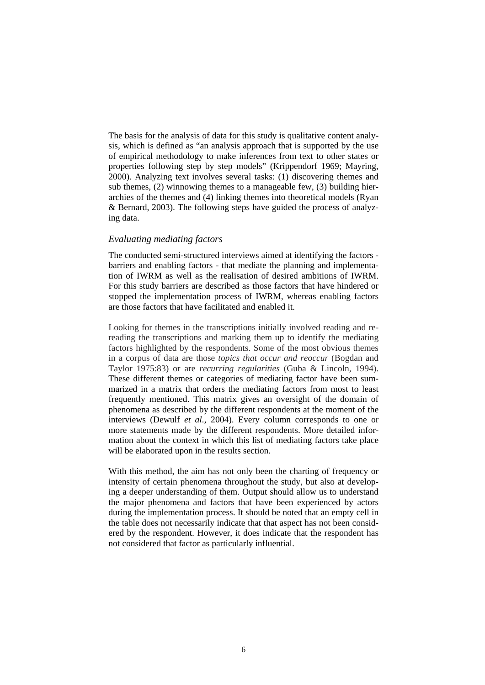The basis for the analysis of data for this study is qualitative content analysis, which is defined as "an analysis approach that is supported by the use of empirical methodology to make inferences from text to other states or properties following step by step models" (Krippendorf 1969; Mayring, 2000). Analyzing text involves several tasks: (1) discovering themes and sub themes, (2) winnowing themes to a manageable few, (3) building hierarchies of the themes and (4) linking themes into theoretical models (Ryan & Bernard, 2003). The following steps have guided the process of analyzing data.

### *Evaluating mediating factors*

The conducted semi-structured interviews aimed at identifying the factors barriers and enabling factors - that mediate the planning and implementation of IWRM as well as the realisation of desired ambitions of IWRM. For this study barriers are described as those factors that have hindered or stopped the implementation process of IWRM, whereas enabling factors are those factors that have facilitated and enabled it.

Looking for themes in the transcriptions initially involved reading and rereading the transcriptions and marking them up to identify the mediating factors highlighted by the respondents. Some of the most obvious themes in a corpus of data are those *topics that occur and reoccur* (Bogdan and Taylor 1975:83) or are *recurring regularities* (Guba & Lincoln, 1994). These different themes or categories of mediating factor have been summarized in a matrix that orders the mediating factors from most to least frequently mentioned. This matrix gives an oversight of the domain of phenomena as described by the different respondents at the moment of the interviews (Dewulf *et al.*, 2004). Every column corresponds to one or more statements made by the different respondents. More detailed information about the context in which this list of mediating factors take place will be elaborated upon in the results section.

With this method, the aim has not only been the charting of frequency or intensity of certain phenomena throughout the study, but also at developing a deeper understanding of them. Output should allow us to understand the major phenomena and factors that have been experienced by actors during the implementation process. It should be noted that an empty cell in the table does not necessarily indicate that that aspect has not been considered by the respondent. However, it does indicate that the respondent has not considered that factor as particularly influential.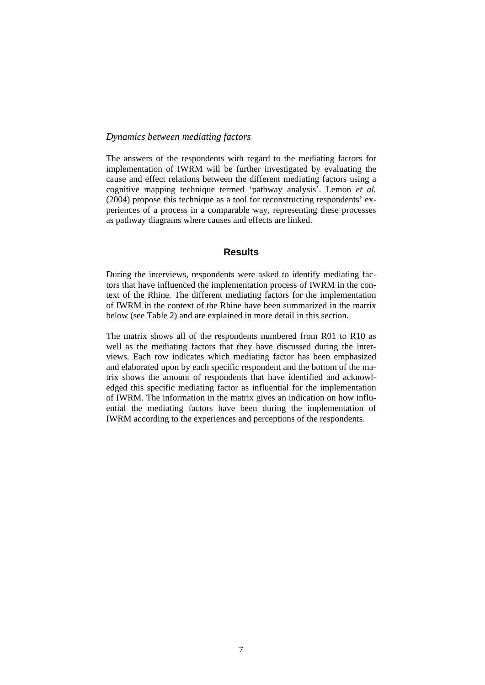### *Dynamics between mediating factors*

The answers of the respondents with regard to the mediating factors for implementation of IWRM will be further investigated by evaluating the cause and effect relations between the different mediating factors using a cognitive mapping technique termed 'pathway analysis'. Lemon *et al.*  (2004) propose this technique as a tool for reconstructing respondents' experiences of a process in a comparable way, representing these processes as pathway diagrams where causes and effects are linked.

## **Results**

During the interviews, respondents were asked to identify mediating factors that have influenced the implementation process of IWRM in the context of the Rhine. The different mediating factors for the implementation of IWRM in the context of the Rhine have been summarized in the matrix below (see Table 2) and are explained in more detail in this section.

The matrix shows all of the respondents numbered from R01 to R10 as well as the mediating factors that they have discussed during the interviews. Each row indicates which mediating factor has been emphasized and elaborated upon by each specific respondent and the bottom of the matrix shows the amount of respondents that have identified and acknowledged this specific mediating factor as influential for the implementation of IWRM. The information in the matrix gives an indication on how influential the mediating factors have been during the implementation of IWRM according to the experiences and perceptions of the respondents.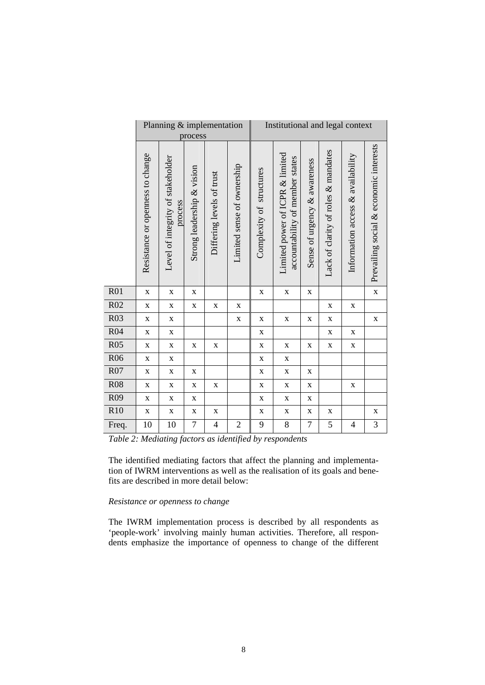|                 | Planning & implementation<br>process |                                              |                            |                           |                            | Institutional and legal context |                                                                    |                              |                                     |                                   |                                        |
|-----------------|--------------------------------------|----------------------------------------------|----------------------------|---------------------------|----------------------------|---------------------------------|--------------------------------------------------------------------|------------------------------|-------------------------------------|-----------------------------------|----------------------------------------|
|                 | Resistance or openness to change     | Level of integrity of stakeholder<br>process | Strong leadership & vision | Differing levels of trust | Limited sense of ownership | Complexity of structures        | Limited power of ICPR & limited<br>accountability of member states | Sense of urgency & awareness | Lack of clarity of roles & mandates | Information access & availability | Prevailing social & economic interests |
| R01             | $\mathbf X$                          | $\mathbf X$                                  | $\mathbf X$                |                           |                            | $\mathbf X$                     | $\mathbf X$                                                        | $\mathbf X$                  |                                     |                                   | $\bf X$                                |
| R02             | $\mathbf X$                          | $\mathbf X$                                  | $\mathbf X$                | $\mathbf X$               | $\mathbf X$                |                                 |                                                                    |                              | $\mathbf X$                         | $\mathbf X$                       |                                        |
| R03             | $\mathbf X$                          | $\mathbf X$                                  |                            |                           | $\mathbf X$                | X                               | $\mathbf X$                                                        | X                            | $\mathbf X$                         |                                   | $\mathbf X$                            |
| R04             | $\mathbf X$                          | $\bf{X}$                                     |                            |                           |                            | $\mathbf X$                     |                                                                    |                              | $\mathbf X$                         | $\mathbf X$                       |                                        |
| R05             | $\mathbf X$                          | $\mathbf X$                                  | $\mathbf X$                | $\mathbf X$               |                            | $\mathbf X$                     | $\mathbf X$                                                        | $\mathbf X$                  | $\mathbf X$                         | $\mathbf X$                       |                                        |
| <b>R06</b>      | $\mathbf X$                          | $\mathbf X$                                  |                            |                           |                            | $\mathbf X$                     | $\mathbf X$                                                        |                              |                                     |                                   |                                        |
| R07             | $\mathbf X$                          | $\mathbf X$                                  | $\mathbf X$                |                           |                            | $\mathbf X$                     | $\mathbf X$                                                        | $\mathbf X$                  |                                     |                                   |                                        |
| R08             | $\mathbf X$                          | $\bf{X}$                                     | $\mathbf X$                | $\mathbf X$               |                            | $\mathbf X$                     | $\mathbf X$                                                        | $\mathbf X$                  |                                     | $\mathbf X$                       |                                        |
| R <sub>09</sub> | $\mathbf X$                          | $\mathbf X$                                  | $\mathbf X$                |                           |                            | $\mathbf X$                     | $\mathbf X$                                                        | $\mathbf X$                  |                                     |                                   |                                        |
| R10             | $\mathbf X$                          | $\mathbf X$                                  | $\mathbf X$                | $\mathbf X$               |                            | X                               | $\mathbf X$                                                        | X                            | $\mathbf X$                         |                                   | $\mathbf X$                            |
| Freq.           | 10                                   | 10                                           | 7                          | $\overline{4}$            | $\overline{2}$             | 9                               | 8                                                                  | 7                            | 5                                   | $\overline{4}$                    | 3                                      |

*Table 2: Mediating factors as identified by respondents* 

The identified mediating factors that affect the planning and implementation of IWRM interventions as well as the realisation of its goals and benefits are described in more detail below:

#### *Resistance or openness to change*

 $\overline{\phantom{a}}$ 

 $\overline{\phantom{a}}$ 

The IWRM implementation process is described by all respondents as 'people-work' involving mainly human activities. Therefore, all respondents emphasize the importance of openness to change of the different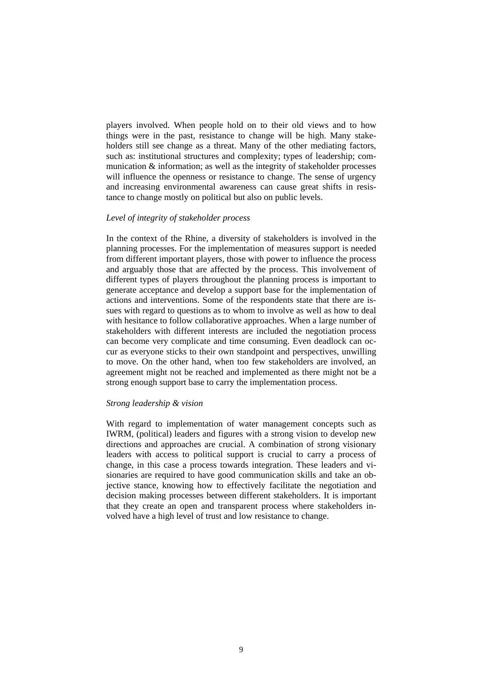players involved. When people hold on to their old views and to how things were in the past, resistance to change will be high. Many stakeholders still see change as a threat. Many of the other mediating factors, such as: institutional structures and complexity; types of leadership; communication & information; as well as the integrity of stakeholder processes will influence the openness or resistance to change. The sense of urgency and increasing environmental awareness can cause great shifts in resistance to change mostly on political but also on public levels.

### *Level of integrity of stakeholder process*

In the context of the Rhine, a diversity of stakeholders is involved in the planning processes. For the implementation of measures support is needed from different important players, those with power to influence the process and arguably those that are affected by the process. This involvement of different types of players throughout the planning process is important to generate acceptance and develop a support base for the implementation of actions and interventions. Some of the respondents state that there are issues with regard to questions as to whom to involve as well as how to deal with hesitance to follow collaborative approaches. When a large number of stakeholders with different interests are included the negotiation process can become very complicate and time consuming. Even deadlock can occur as everyone sticks to their own standpoint and perspectives, unwilling to move. On the other hand, when too few stakeholders are involved, an agreement might not be reached and implemented as there might not be a strong enough support base to carry the implementation process.

#### *Strong leadership & vision*

With regard to implementation of water management concepts such as IWRM, (political) leaders and figures with a strong vision to develop new directions and approaches are crucial. A combination of strong visionary leaders with access to political support is crucial to carry a process of change, in this case a process towards integration. These leaders and visionaries are required to have good communication skills and take an objective stance, knowing how to effectively facilitate the negotiation and decision making processes between different stakeholders. It is important that they create an open and transparent process where stakeholders involved have a high level of trust and low resistance to change.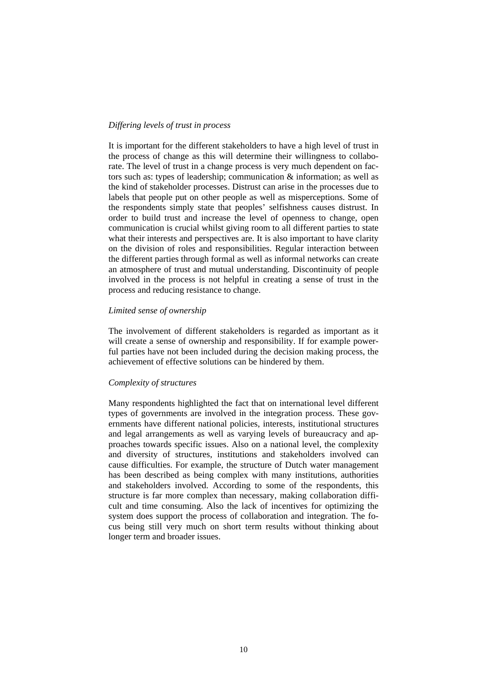### *Differing levels of trust in process*

It is important for the different stakeholders to have a high level of trust in the process of change as this will determine their willingness to collaborate. The level of trust in a change process is very much dependent on factors such as: types of leadership; communication & information; as well as the kind of stakeholder processes. Distrust can arise in the processes due to labels that people put on other people as well as misperceptions. Some of the respondents simply state that peoples' selfishness causes distrust. In order to build trust and increase the level of openness to change, open communication is crucial whilst giving room to all different parties to state what their interests and perspectives are. It is also important to have clarity on the division of roles and responsibilities. Regular interaction between the different parties through formal as well as informal networks can create an atmosphere of trust and mutual understanding. Discontinuity of people involved in the process is not helpful in creating a sense of trust in the process and reducing resistance to change.

### *Limited sense of ownership*

The involvement of different stakeholders is regarded as important as it will create a sense of ownership and responsibility. If for example powerful parties have not been included during the decision making process, the achievement of effective solutions can be hindered by them.

### *Complexity of structures*

Many respondents highlighted the fact that on international level different types of governments are involved in the integration process. These governments have different national policies, interests, institutional structures and legal arrangements as well as varying levels of bureaucracy and approaches towards specific issues. Also on a national level, the complexity and diversity of structures, institutions and stakeholders involved can cause difficulties. For example, the structure of Dutch water management has been described as being complex with many institutions, authorities and stakeholders involved. According to some of the respondents, this structure is far more complex than necessary, making collaboration difficult and time consuming. Also the lack of incentives for optimizing the system does support the process of collaboration and integration. The focus being still very much on short term results without thinking about longer term and broader issues.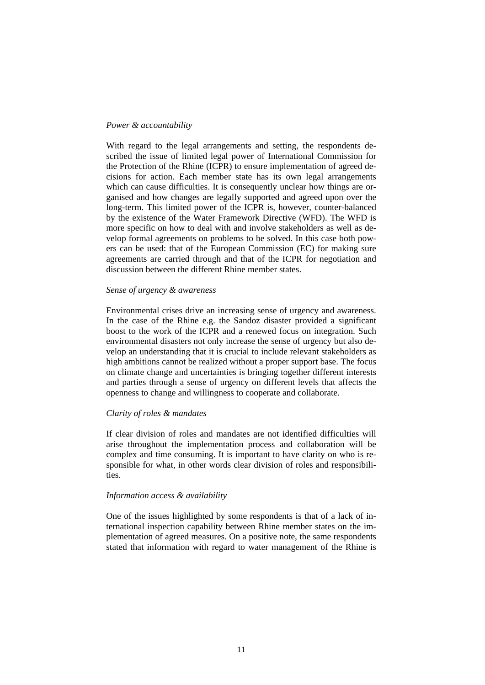#### *Power & accountability*

With regard to the legal arrangements and setting, the respondents described the issue of limited legal power of International Commission for the Protection of the Rhine (ICPR) to ensure implementation of agreed decisions for action. Each member state has its own legal arrangements which can cause difficulties. It is consequently unclear how things are organised and how changes are legally supported and agreed upon over the long-term. This limited power of the ICPR is, however, counter-balanced by the existence of the Water Framework Directive (WFD). The WFD is more specific on how to deal with and involve stakeholders as well as develop formal agreements on problems to be solved. In this case both powers can be used: that of the European Commission (EC) for making sure agreements are carried through and that of the ICPR for negotiation and discussion between the different Rhine member states.

#### *Sense of urgency & awareness*

Environmental crises drive an increasing sense of urgency and awareness. In the case of the Rhine e.g. the Sandoz disaster provided a significant boost to the work of the ICPR and a renewed focus on integration. Such environmental disasters not only increase the sense of urgency but also develop an understanding that it is crucial to include relevant stakeholders as high ambitions cannot be realized without a proper support base. The focus on climate change and uncertainties is bringing together different interests and parties through a sense of urgency on different levels that affects the openness to change and willingness to cooperate and collaborate.

### *Clarity of roles & mandates*

If clear division of roles and mandates are not identified difficulties will arise throughout the implementation process and collaboration will be complex and time consuming. It is important to have clarity on who is responsible for what, in other words clear division of roles and responsibilities.

#### *Information access & availability*

One of the issues highlighted by some respondents is that of a lack of international inspection capability between Rhine member states on the implementation of agreed measures. On a positive note, the same respondents stated that information with regard to water management of the Rhine is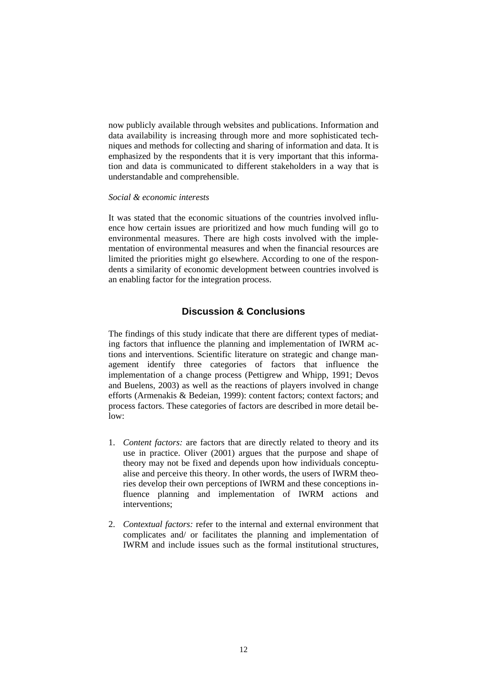now publicly available through websites and publications. Information and data availability is increasing through more and more sophisticated techniques and methods for collecting and sharing of information and data. It is emphasized by the respondents that it is very important that this information and data is communicated to different stakeholders in a way that is understandable and comprehensible.

#### *Social & economic interests*

It was stated that the economic situations of the countries involved influence how certain issues are prioritized and how much funding will go to environmental measures. There are high costs involved with the implementation of environmental measures and when the financial resources are limited the priorities might go elsewhere. According to one of the respondents a similarity of economic development between countries involved is an enabling factor for the integration process.

## **Discussion & Conclusions**

The findings of this study indicate that there are different types of mediating factors that influence the planning and implementation of IWRM actions and interventions. Scientific literature on strategic and change management identify three categories of factors that influence the implementation of a change process (Pettigrew and Whipp, 1991; Devos and Buelens, 2003) as well as the reactions of players involved in change efforts (Armenakis & Bedeian, 1999): content factors; context factors; and process factors. These categories of factors are described in more detail be $low<sup>2</sup>$ 

- 1. *Content factors:* are factors that are directly related to theory and its use in practice. Oliver (2001) argues that the purpose and shape of theory may not be fixed and depends upon how individuals conceptualise and perceive this theory. In other words, the users of IWRM theories develop their own perceptions of IWRM and these conceptions influence planning and implementation of IWRM actions and interventions;
- 2. *Contextual factors:* refer to the internal and external environment that complicates and/ or facilitates the planning and implementation of IWRM and include issues such as the formal institutional structures,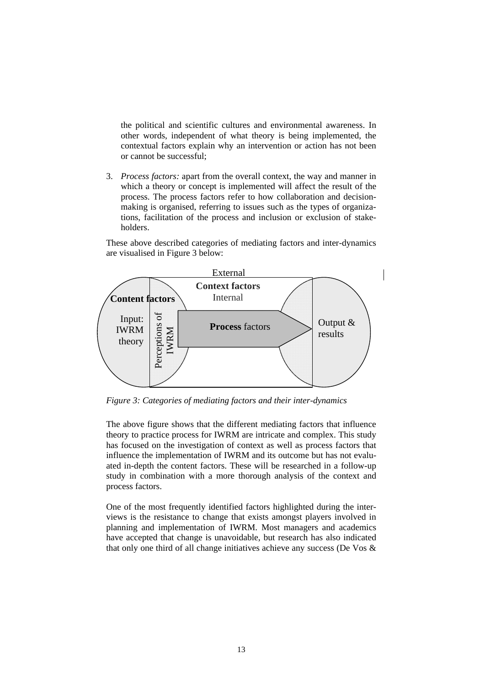the political and scientific cultures and environmental awareness. In other words, independent of what theory is being implemented, the contextual factors explain why an intervention or action has not been or cannot be successful;

3. *Process factors:* apart from the overall context, the way and manner in which a theory or concept is implemented will affect the result of the process. The process factors refer to how collaboration and decisionmaking is organised, referring to issues such as the types of organizations, facilitation of the process and inclusion or exclusion of stakeholders.

These above described categories of mediating factors and inter-dynamics are visualised in Figure 3 below:



*Figure 3: Categories of mediating factors and their inter-dynamics* 

The above figure shows that the different mediating factors that influence theory to practice process for IWRM are intricate and complex. This study has focused on the investigation of context as well as process factors that influence the implementation of IWRM and its outcome but has not evaluated in-depth the content factors. These will be researched in a follow-up study in combination with a more thorough analysis of the context and process factors.

One of the most frequently identified factors highlighted during the interviews is the resistance to change that exists amongst players involved in planning and implementation of IWRM. Most managers and academics have accepted that change is unavoidable, but research has also indicated that only one third of all change initiatives achieve any success (De Vos &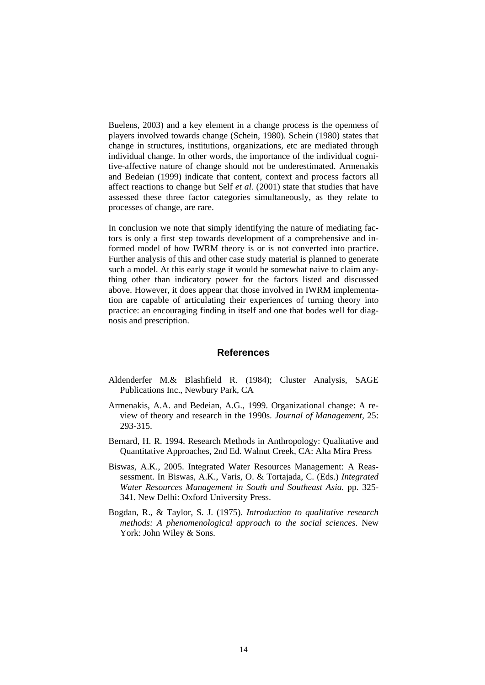Buelens, 2003) and a key element in a change process is the openness of players involved towards change (Schein, 1980). Schein (1980) states that change in structures, institutions, organizations, etc are mediated through individual change. In other words, the importance of the individual cognitive-affective nature of change should not be underestimated. Armenakis and Bedeian (1999) indicate that content, context and process factors all affect reactions to change but Self *et al.* (2001) state that studies that have assessed these three factor categories simultaneously, as they relate to processes of change, are rare.

In conclusion we note that simply identifying the nature of mediating factors is only a first step towards development of a comprehensive and informed model of how IWRM theory is or is not converted into practice. Further analysis of this and other case study material is planned to generate such a model. At this early stage it would be somewhat naive to claim anything other than indicatory power for the factors listed and discussed above. However, it does appear that those involved in IWRM implementation are capable of articulating their experiences of turning theory into practice: an encouraging finding in itself and one that bodes well for diagnosis and prescription.

### **References**

- Aldenderfer M.& Blashfield R. (1984); Cluster Analysis, SAGE Publications Inc., Newbury Park, CA
- Armenakis, A.A. and Bedeian, A.G., 1999. Organizational change: A review of theory and research in the 1990s. *Journal of Management,* 25: 293-315.
- Bernard, H. R. 1994. Research Methods in Anthropology: Qualitative and Quantitative Approaches, 2nd Ed. Walnut Creek, CA: Alta Mira Press
- Biswas, A.K., 2005. Integrated Water Resources Management: A Reassessment. In Biswas, A.K., Varis, O. & Tortajada, C. (Eds.) *Integrated Water Resources Management in South and Southeast Asia.* pp. 325- 341. New Delhi: Oxford University Press.
- Bogdan, R., & Taylor, S. J. (1975). *Introduction to qualitative research methods: A phenomenological approach to the social sciences*. New York: John Wiley & Sons.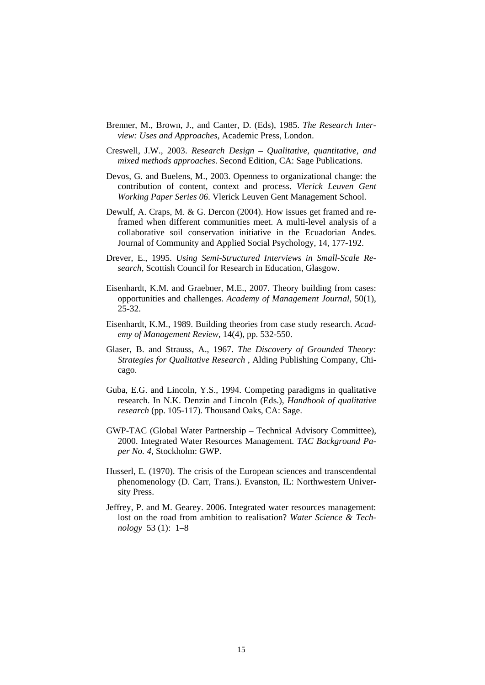- Brenner, M., Brown, J., and Canter, D. (Eds), 1985. *The Research Interview: Uses and Approaches*, Academic Press, London.
- Creswell, J.W., 2003. *Research Design Qualitative, quantitative, and mixed methods approaches*. Second Edition, CA: Sage Publications.
- Devos, G. and Buelens, M., 2003. Openness to organizational change: the contribution of content, context and process. *Vlerick Leuven Gent Working Paper Series 06*. Vlerick Leuven Gent Management School.
- Dewulf, A. Craps, M. & G. Dercon (2004). How issues get framed and reframed when different communities meet. A multi-level analysis of a collaborative soil conservation initiative in the Ecuadorian Andes. Journal of Community and Applied Social Psychology, 14, 177-192.
- Drever, E., 1995. *Using Semi-Structured Interviews in Small-Scale Research*, Scottish Council for Research in Education, Glasgow.
- Eisenhardt, K.M. and Graebner, M.E., 2007. Theory building from cases: opportunities and challenges. *Academy of Management Journal,* 50(1), 25-32.
- Eisenhardt, K.M., 1989. Building theories from case study research. *Academy of Management Review,* 14(4), pp. 532-550.
- Glaser, B. and Strauss, A., 1967. *The Discovery of Grounded Theory: Strategies for Qualitative Research* , Alding Publishing Company, Chicago.
- Guba, E.G. and Lincoln, Y.S., 1994. Competing paradigms in qualitative research. In N.K. Denzin and Lincoln (Eds.), *Handbook of qualitative research* (pp. 105-117). Thousand Oaks, CA: Sage.
- GWP-TAC (Global Water Partnership Technical Advisory Committee), 2000. Integrated Water Resources Management. *TAC Background Paper No. 4*, Stockholm: GWP.
- Husserl, E. (1970). The crisis of the European sciences and transcendental phenomenology (D. Carr, Trans.). Evanston, IL: Northwestern University Press.
- Jeffrey, P. and M. Gearey. 2006. Integrated water resources management: lost on the road from ambition to realisation? *Water Science & Technology* 53 (1): 1–8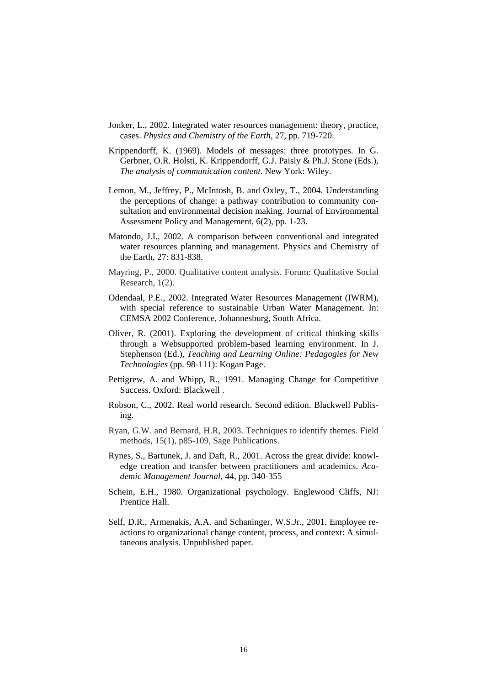- Jonker, L., 2002. Integrated water resources management: theory, practice, cases. *Physics and Chemistry of the Earth,* 27, pp. 719-720.
- Krippendorff, K. (1969). Models of messages: three prototypes. In G. Gerbner, O.R. Holsti, K. Krippendorff, G.J. Paisly & Ph.J. Stone (Eds.), *The analysis of communication content*. New York: Wiley.
- Lemon, M., Jeffrey, P., McIntosh, B. and Oxley, T., 2004. Understanding the perceptions of change: a pathway contribution to community consultation and environmental decision making. Journal of Environmental Assessment Policy and Management, 6(2), pp. 1-23.
- Matondo, J.I., 2002. A comparison between conventional and integrated water resources planning and management. Physics and Chemistry of the Earth, 27: 831-838.
- Mayring, P., 2000. Qualitative content analysis. Forum: Qualitative Social Research, 1(2).
- Odendaal, P.E., 2002. Integrated Water Resources Management (IWRM), with special reference to sustainable Urban Water Management. In: CEMSA 2002 Conference, Johannesburg, South Africa.
- Oliver, R. (2001). Exploring the development of critical thinking skills through a Websupported problem-based learning environment. In J. Stephenson (Ed.), *Teaching and Learning Online: Pedagogies for New Technologies* (pp. 98-111): Kogan Page.
- Pettigrew, A. and Whipp, R., 1991. Managing Change for Competitive Success. Oxford: Blackwell .
- Robson, C., 2002. Real world research. Second edition. Blackwell Publising.
- Ryan, G.W. and Bernard, H.R, 2003. Techniques to identify themes. Field methods, 15(1), p85-109, Sage Publications.
- Rynes, S., Bartunek, J. and Daft, R., 2001. Across the great divide: knowledge creation and transfer between practitioners and academics. *Academic Management Journal,* 44, pp. 340-355
- Schein, E.H., 1980. Organizational psychology. Englewood Cliffs, NJ: Prentice Hall.
- Self, D.R., Armenakis, A.A. and Schaninger, W.S.Jr., 2001. Employee reactions to organizational change content, process, and context: A simultaneous analysis. Unpublished paper.